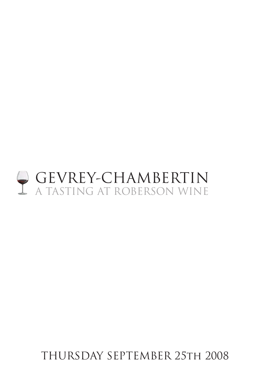# GEVREY-CHAMBERTIN A TASTING AT ROBERSON WINE

THURSDAY SEPTEMBER 25th 2008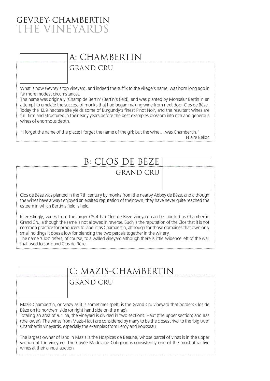### gevrey-chambertin THE VINEYARI

# A: CHAMBERTIN

GRAND CRU

What is now Gevrey's top vineyard, and indeed the suffix to the village's name, was born long ago in far more modest circumstances.

The name was originally 'Champ de Bertin' (Bertin's field), and was planted by Monseiur Bertin in an attempt to emulate the success of monks that had began making wine from next door Clos de Bèze. Today the 12.9 hectare site yields some of Burgundy's finest Pinot Noir, and the resultant wines are full, firm and structured in their early years before the best examples blossom into rich and generous wines of enormous depth.

"I forget the name of the place; I forget the name of the girl; but the wine….was Chambertin." Hilaire Belloc

| <b>B: CLOS DE BÈZE</b>                                                                                                                                                                                                                                                                                                                                                                                                                                                                                                                                         |
|----------------------------------------------------------------------------------------------------------------------------------------------------------------------------------------------------------------------------------------------------------------------------------------------------------------------------------------------------------------------------------------------------------------------------------------------------------------------------------------------------------------------------------------------------------------|
| <b>GRAND CRU</b>                                                                                                                                                                                                                                                                                                                                                                                                                                                                                                                                               |
|                                                                                                                                                                                                                                                                                                                                                                                                                                                                                                                                                                |
| Clos de Bèze was planted in the 7th century by monks from the nearby Abbey de Bèze, and although<br>the wines have always enjoyed an exalted reputation of their own, they have never quite reached the<br>esteem in which Bertin's field is held.                                                                                                                                                                                                                                                                                                             |
| Interestingly, wines from the larger (15.4 ha) Clos de Bèze vineyard can be labelled as Chambertin<br>Grand Cru, although the same is not allowed in reverse. Such is the reputation of the Clos that it is not<br>common practice for producers to label it as Chambertin, although for those domaines that own only<br>small holdings it does allow for blending the two parcels together in the winery.<br>The name 'Clos' refers, of course, to a walled vineyard although there is little evidence left of the wall<br>that used to surround Clos de Bèze |

C: MAZIS-CHAMBERTIN

GRAND CRU

Mazis-Chambertin, or Mazy as it is sometimes spelt, is the Grand Cru vineyard that borders Clos de Bèze on its northern side (or right hand side on the map).

Totalling an area of 9.1 ha, the vineyard is divided in two sections: Haut (the upper section) and Bas (the lower). The wines from Mazis-Haut are considered by many to be the closest rival to the 'big two' Chambertin vineyards, especially the examples from Leroy and Rousseau.

The largest owner of land in Mazis is the Hospices de Beaune, whose parcel of vines is in the upper section of the vineyard. The Cuvée Madelaine Collignon is consistently one of the most attractive wines at their annual auction.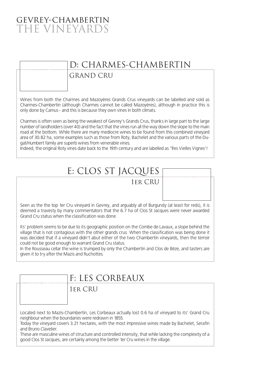### gevrey-chambertin **HE VINEYARD**

# D: CHARMES-CHAMBERTIN

GRAND CRU

Wines from both the Charmes and Mazoyères Grands Crus vineyards can be labelled and sold as Charmes-Chambertin (although Charmes cannot be called Mazoyères), although in practice this is only done by Camus - and this is because they own vines in both climats.

Charmes is often seen as being the weakest of Gevrey's Grands Crus, thanks in large part to the large number of landholders (over 40) and the fact that the vines run all the way down the slope to the main road at the bottom. While there are many mediocre wines to be found from this combined vineyard area of 30.82 ha, some examples such as those from Roty, Bachelet and the various parts of the Dugat/Humbert family are superb wines from venerable vines.

Indeed, the original Roty vines date back to the 19th century and are labelled as 'Tres Vielles Vignes'!

# E: CLOS ST JACQUES

1er CRU

Seen as the the top 1er Cru vineyard in Gevrey, and arguably all of Burgundy (at least for reds), it is deemed a travesty by many commentators that the 6.7 ha of Clos St Jacques were never awarded Grand Cru status when the classification was done.

Its' problem seems to be due to its geographic position on the Combe de Lavaux, a slope behind the village that is not contagious with the other grands crus. When the classification was being done it was decided that if a vineyard didn't abut either of the two Chambertin vineyards, then the terroir could not be good enough to warrant Grand Cru status.

In the Rousseau cellar the wine is trumped by only the Chambertin and Clos de Bèze, and tasters are given it to try after the Mazis and Ruchottes.

# F: LES CORBEAUX

1er CRU

Located next to Mazis-Chambertin, Les Corbeaux actually lost 0.6 ha of vineyard to its' Grand Cru neighbour when the boundaries were redrawn in 1855.

Today the vineyard covers 3.21 hectares, with the most impressive wines made by Bachelet, Serafin and Bruno Clavelier.

These are masculine wines of structure and controlled intensity, that while lacking the complexity of a good Clos St Jacques, are certainly among the better 1er Cru wines in the village.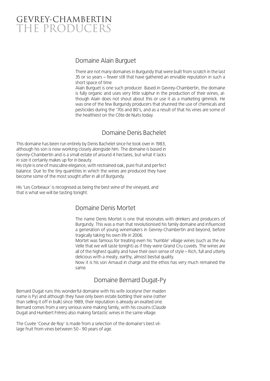## GEVREY-CHAMBERTIN THE PRODUCERS

#### Domaine Alain Burguet

There are not many domaines in Burgundy that were built from scratch in the last 35 or so years – fewer still that have gathered an enviable reputation in such a short space of time.

Alain Burguet is one such producer. Based in Gevrey-Chambertin, the domaine is fully organic and uses very little sulphur in the production of their wines, although Alain does not shout about this or use it as a marketing gimmick. He was one of the few Burgundy producers that shunned the use of chemicals and pesticides during the '70s and 80's, and as a result of that his vines are some of the healthiest on the Côte de Nuits today.

#### Domaine Denis Bachelet

This domaine has been run entirely by Denis Bachelet since he took over in 1983, although his son is now working closely alongside him. The domaine is based in Gevrey-Chambertin and is a small estate of around 4 hectares, but what it lacks in size it certainly makes up for in beauty.

His style is one of masculine elegance, with restrained oak, pure fruit and perfect balance. Due to the tiny quantities in which the wines are produced they have become some of the most sought after in all of Burgundy.

His 'Les Corbeaux' is recognised as being the best wine of the vineyard, and that is what we will be tasting tonight.

#### Domaine Denis Mortet

The name Denis Mortet is one that resonates with drinkers and producers of Burgundy. This was a man that revolutionised his family domaine and influenced a generation of young winemakers in Gevrey-Chambertin and beyond, before tragically taking his own life in 2006.

Mortet was famous for treating even his 'humble' village wines (such as the Au Velle that we will taste tonight) as if they were Grand Cru cuveés. The wines are all of the highest quality and have their own sense of style – Rich, full and utterly delicious with a meaty, earthy, almost bestial quality.

Now it is his son Arnaud in charge and the ethos has very much remained the same.

#### Domaine Bernard Dugat-Py

Bernard Dugat runs this wonderful domaine with his wife Jocelyne (her maiden name is Py) and although they have only been estate bottling their wine (rather than selling it off in bulk) since 1989, their reputation is already an exalted one. Bernard comes from a very serious wine making family, with his cousins (Claude Dugat and Humbert Frères) also making fantastic wines in the same village.

The Cuvée 'Coeur de Roy' is made from a selection of the domaine's best village fruit from vines between 50 - 90 years of age.